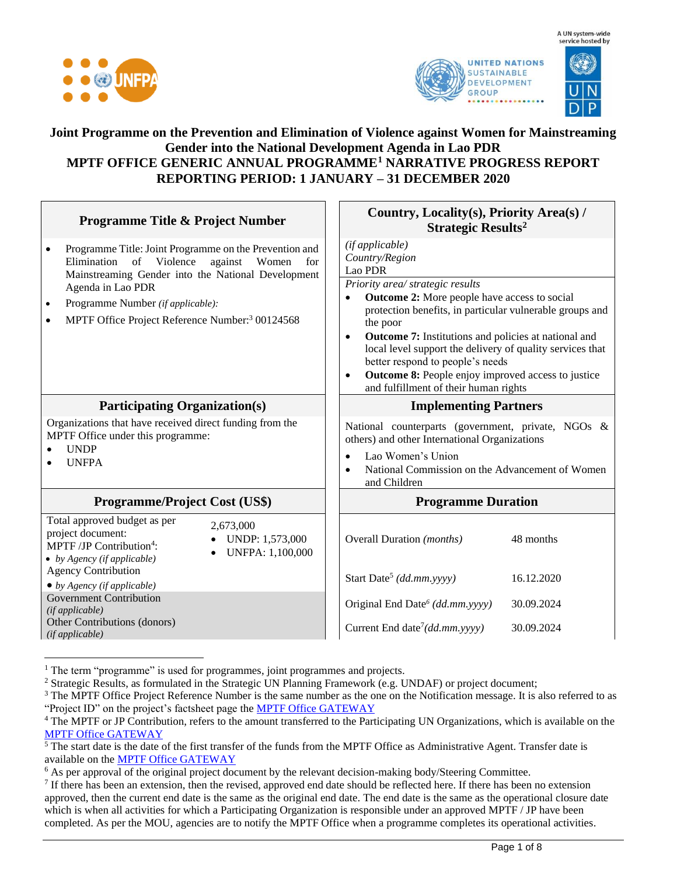





## **Joint Programme on the Prevention and Elimination of Violence against Women for Mainstreaming Gender into the National Development Agenda in Lao PDR MPTF OFFICE GENERIC ANNUAL PROGRAMME<sup>1</sup> NARRATIVE PROGRESS REPORT REPORTING PERIOD: 1 JANUARY – 31 DECEMBER 2020**

| <b>Programme Title &amp; Project Number</b>                                                                                                                                                                                                                                                                                        | Country, Locality(s), Priority Area(s) /<br><b>Strategic Results<sup>2</sup></b>                                                                                                                                                                                                                                                                                                                                                                                                                                      |  |
|------------------------------------------------------------------------------------------------------------------------------------------------------------------------------------------------------------------------------------------------------------------------------------------------------------------------------------|-----------------------------------------------------------------------------------------------------------------------------------------------------------------------------------------------------------------------------------------------------------------------------------------------------------------------------------------------------------------------------------------------------------------------------------------------------------------------------------------------------------------------|--|
| Programme Title: Joint Programme on the Prevention and<br>$\bullet$<br>Elimination of Violence<br>against<br>Women<br>for<br>Mainstreaming Gender into the National Development<br>Agenda in Lao PDR<br>Programme Number (if applicable):<br>$\bullet$<br>MPTF Office Project Reference Number: <sup>3</sup> 00124568<br>$\bullet$ | (if applicable)<br>Country/Region<br>Lao PDR<br>Priority area/ strategic results<br>Outcome 2: More people have access to social<br>$\bullet$<br>protection benefits, in particular vulnerable groups and<br>the poor<br><b>Outcome 7:</b> Institutions and policies at national and<br>$\bullet$<br>local level support the delivery of quality services that<br>better respond to people's needs<br><b>Outcome 8:</b> People enjoy improved access to justice<br>$\bullet$<br>and fulfillment of their human rights |  |
| <b>Participating Organization(s)</b>                                                                                                                                                                                                                                                                                               | <b>Implementing Partners</b>                                                                                                                                                                                                                                                                                                                                                                                                                                                                                          |  |
| Organizations that have received direct funding from the<br>MPTF Office under this programme:<br><b>UNDP</b><br><b>UNFPA</b>                                                                                                                                                                                                       | National counterparts (government, private, NGOs &<br>others) and other International Organizations<br>Lao Women's Union<br>$\bullet$<br>National Commission on the Advancement of Women<br>and Children                                                                                                                                                                                                                                                                                                              |  |
| <b>Programme/Project Cost (US\$)</b>                                                                                                                                                                                                                                                                                               | <b>Programme Duration</b>                                                                                                                                                                                                                                                                                                                                                                                                                                                                                             |  |
| Total approved budget as per<br>2,673,000<br>project document:<br>UNDP: 1,573,000<br>MPTF/JP Contribution <sup>4</sup> :<br>UNFPA: 1,100,000<br>$\bullet$ by Agency (if applicable)                                                                                                                                                | Overall Duration (months)<br>48 months                                                                                                                                                                                                                                                                                                                                                                                                                                                                                |  |
| <b>Agency Contribution</b><br>$\bullet$ by Agency (if applicable)                                                                                                                                                                                                                                                                  | Start Date <sup>5</sup> (dd.mm.yyyy)<br>16.12.2020                                                                                                                                                                                                                                                                                                                                                                                                                                                                    |  |
| <b>Government Contribution</b><br>(if applicable)<br>Other Contributions (donors)                                                                                                                                                                                                                                                  | Original End Date <sup>6</sup> (dd.mm.yyyy)<br>30.09.2024                                                                                                                                                                                                                                                                                                                                                                                                                                                             |  |
| (if applicable)                                                                                                                                                                                                                                                                                                                    | Current End date <sup>7</sup> (dd.mm.yyyy)<br>30.09.2024                                                                                                                                                                                                                                                                                                                                                                                                                                                              |  |

 $1$  The term "programme" is used for programmes, joint programmes and projects.

<sup>2</sup> Strategic Results, as formulated in the Strategic UN Planning Framework (e.g. UNDAF) or project document;

 $3$  The MPTF Office Project Reference Number is the same number as the one on the Notification message. It is also referred to as "Project ID" on the project's factsheet page the [MPTF Office GATEWAY](http://mdtf.undp.org/)

 $5$  The start date is the date of the first transfer of the funds from the MPTF Office as Administrative Agent. Transfer date is available on the [MPTF Office GATEWAY](http://mdtf.undp.org/)

<sup>6</sup> As per approval of the original project document by the relevant decision-making body/Steering Committee.

<sup>7</sup> If there has been an extension, then the revised, approved end date should be reflected here. If there has been no extension approved, then the current end date is the same as the original end date. The end date is the same as the operational closure date which is when all activities for which a Participating Organization is responsible under an approved MPTF / JP have been completed. As per the MOU, agencies are to notify the MPTF Office when a programme completes its operational activities.

<sup>&</sup>lt;sup>4</sup> The MPTF or JP Contribution, refers to the amount transferred to the Participating UN Organizations, which is available on the [MPTF Office GATEWAY](http://mdtf.undp.org/)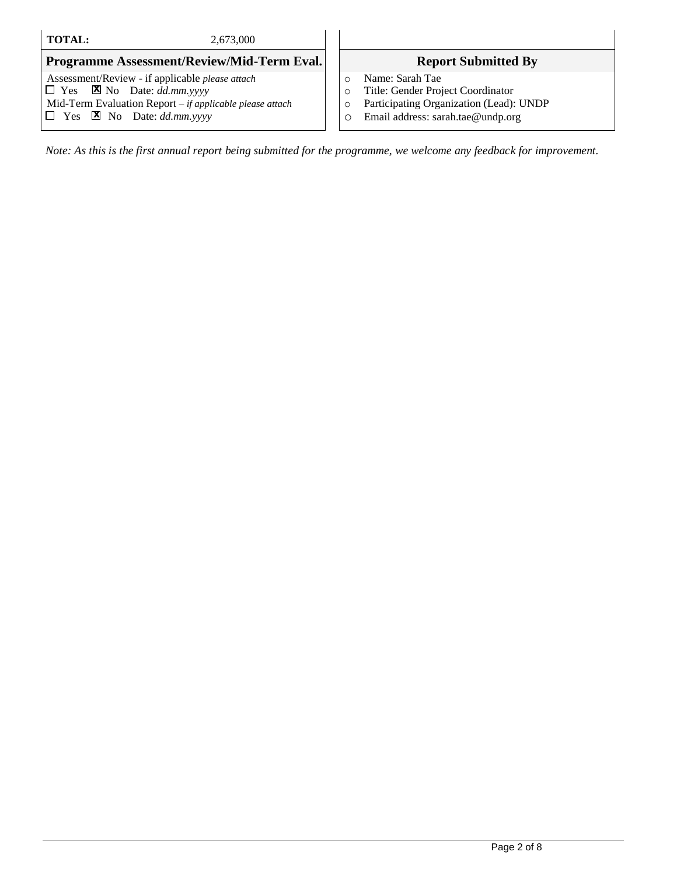#### **TOTAL:** 2,673,000

#### **Programme Assessment/Review/Mid-Term Eval.** Report Submitted By

Assessment/Review - if applicable *please attach*  $\Box$  Yes  $\Box$  No Date: *dd.mm.yyyy* Mid-Term Evaluation Report *– if applicable please attach*  $\Box$  Yes **X** No Date: *dd.mm.yyyy* 

- o Name: Sarah Tae
- o Title: Gender Project Coordinator
- o Participating Organization (Lead): UNDP
- o Email address: sarah.tae@undp.org

*Note: As this is the first annual report being submitted for the programme, we welcome any feedback for improvement.*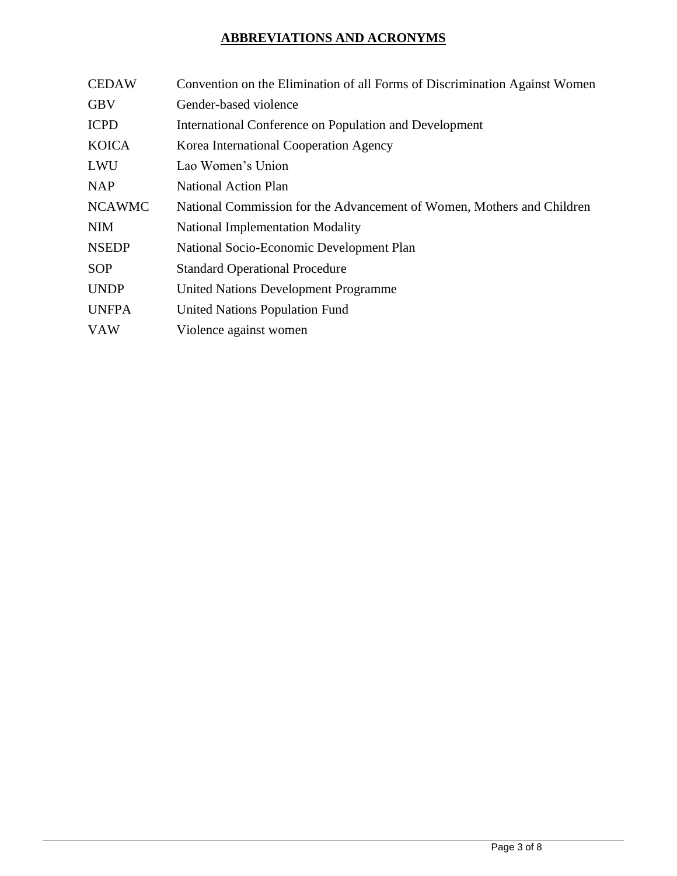# **ABBREVIATIONS AND ACRONYMS**

| <b>CEDAW</b>  | Convention on the Elimination of all Forms of Discrimination Against Women |  |  |
|---------------|----------------------------------------------------------------------------|--|--|
| <b>GBV</b>    | Gender-based violence                                                      |  |  |
| <b>ICPD</b>   | International Conference on Population and Development                     |  |  |
| <b>KOICA</b>  | Korea International Cooperation Agency                                     |  |  |
| <b>LWU</b>    | Lao Women's Union                                                          |  |  |
| <b>NAP</b>    | <b>National Action Plan</b>                                                |  |  |
| <b>NCAWMC</b> | National Commission for the Advancement of Women, Mothers and Children     |  |  |
| <b>NIM</b>    | <b>National Implementation Modality</b>                                    |  |  |
| <b>NSEDP</b>  | National Socio-Economic Development Plan                                   |  |  |
| <b>SOP</b>    | <b>Standard Operational Procedure</b>                                      |  |  |
| <b>UNDP</b>   | United Nations Development Programme                                       |  |  |
| <b>UNFPA</b>  | <b>United Nations Population Fund</b>                                      |  |  |
| <b>VAW</b>    | Violence against women                                                     |  |  |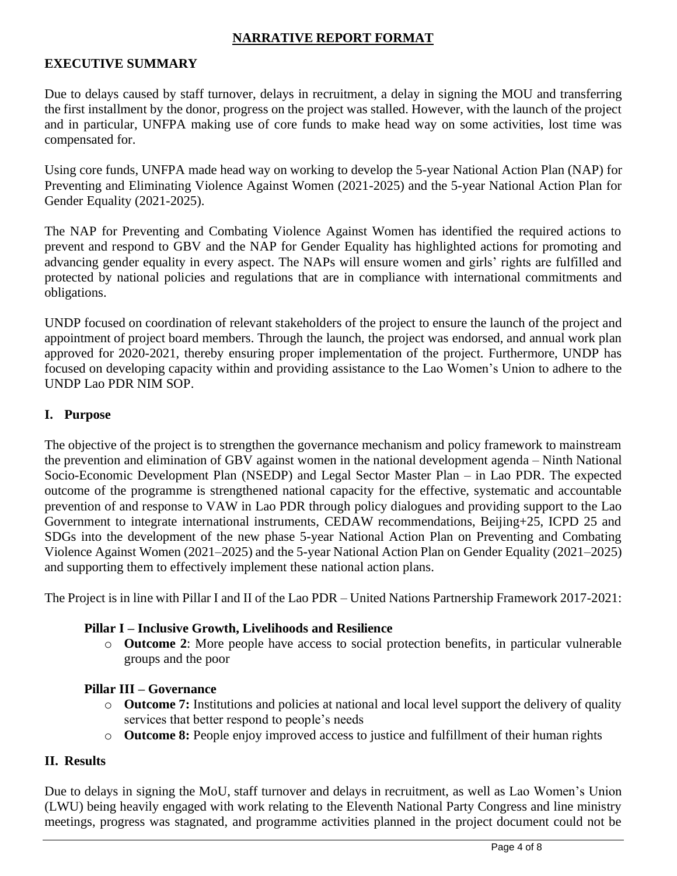#### **NARRATIVE REPORT FORMAT**

## **EXECUTIVE SUMMARY**

Due to delays caused by staff turnover, delays in recruitment, a delay in signing the MOU and transferring the first installment by the donor, progress on the project was stalled. However, with the launch of the project and in particular, UNFPA making use of core funds to make head way on some activities, lost time was compensated for.

Using core funds, UNFPA made head way on working to develop the 5-year National Action Plan (NAP) for Preventing and Eliminating Violence Against Women (2021-2025) and the 5-year National Action Plan for Gender Equality (2021-2025).

The NAP for Preventing and Combating Violence Against Women has identified the required actions to prevent and respond to GBV and the NAP for Gender Equality has highlighted actions for promoting and advancing gender equality in every aspect. The NAPs will ensure women and girls' rights are fulfilled and protected by national policies and regulations that are in compliance with international commitments and obligations.

UNDP focused on coordination of relevant stakeholders of the project to ensure the launch of the project and appointment of project board members. Through the launch, the project was endorsed, and annual work plan approved for 2020-2021, thereby ensuring proper implementation of the project. Furthermore, UNDP has focused on developing capacity within and providing assistance to the Lao Women's Union to adhere to the UNDP Lao PDR NIM SOP.

#### **I. Purpose**

The objective of the project is to strengthen the governance mechanism and policy framework to mainstream the prevention and elimination of GBV against women in the national development agenda – Ninth National Socio-Economic Development Plan (NSEDP) and Legal Sector Master Plan – in Lao PDR. The expected outcome of the programme is strengthened national capacity for the effective, systematic and accountable prevention of and response to VAW in Lao PDR through policy dialogues and providing support to the Lao Government to integrate international instruments, CEDAW recommendations, Beijing+25, ICPD 25 and SDGs into the development of the new phase 5-year National Action Plan on Preventing and Combating Violence Against Women (2021–2025) and the 5-year National Action Plan on Gender Equality (2021–2025) and supporting them to effectively implement these national action plans.

The Project is in line with Pillar I and II of the Lao PDR – United Nations Partnership Framework 2017-2021:

#### **Pillar I – Inclusive Growth, Livelihoods and Resilience**

o **Outcome 2**: More people have access to social protection benefits, in particular vulnerable groups and the poor

#### **Pillar III – Governance**

- o **Outcome 7:** Institutions and policies at national and local level support the delivery of quality services that better respond to people's needs
- o **Outcome 8:** People enjoy improved access to justice and fulfillment of their human rights

#### **II. Results**

Due to delays in signing the MoU, staff turnover and delays in recruitment, as well as Lao Women's Union (LWU) being heavily engaged with work relating to the Eleventh National Party Congress and line ministry meetings, progress was stagnated, and programme activities planned in the project document could not be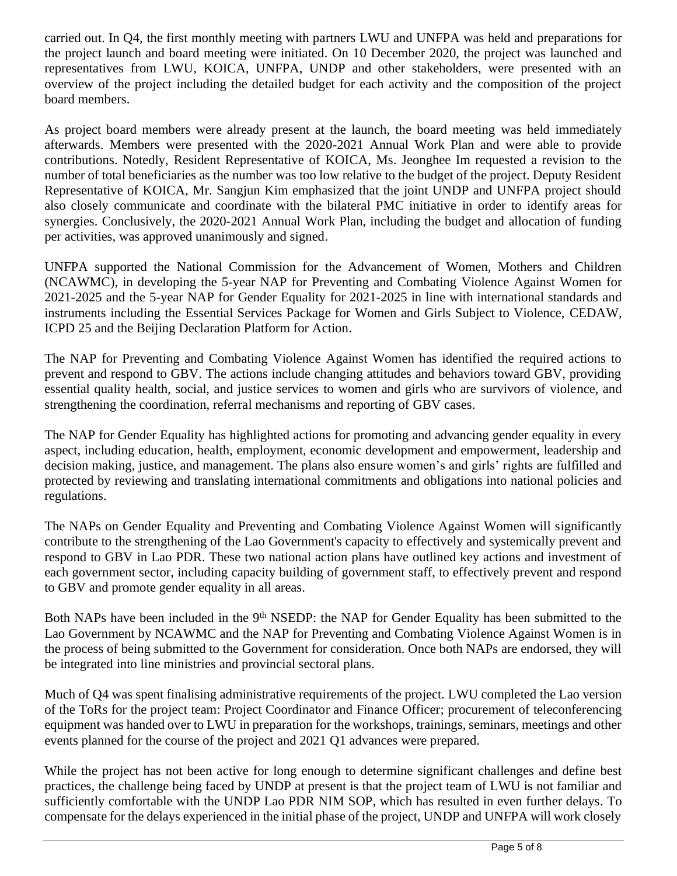carried out. In Q4, the first monthly meeting with partners LWU and UNFPA was held and preparations for the project launch and board meeting were initiated. On 10 December 2020, the project was launched and representatives from LWU, KOICA, UNFPA, UNDP and other stakeholders, were presented with an overview of the project including the detailed budget for each activity and the composition of the project board members.

As project board members were already present at the launch, the board meeting was held immediately afterwards. Members were presented with the 2020-2021 Annual Work Plan and were able to provide contributions. Notedly, Resident Representative of KOICA, Ms. Jeonghee Im requested a revision to the number of total beneficiaries as the number was too low relative to the budget of the project. Deputy Resident Representative of KOICA, Mr. Sangjun Kim emphasized that the joint UNDP and UNFPA project should also closely communicate and coordinate with the bilateral PMC initiative in order to identify areas for synergies. Conclusively, the 2020-2021 Annual Work Plan, including the budget and allocation of funding per activities, was approved unanimously and signed.

UNFPA supported the National Commission for the Advancement of Women, Mothers and Children (NCAWMC), in developing the 5-year NAP for Preventing and Combating Violence Against Women for 2021-2025 and the 5-year NAP for Gender Equality for 2021-2025 in line with international standards and instruments including the Essential Services Package for Women and Girls Subject to Violence, CEDAW, ICPD 25 and the Beijing Declaration Platform for Action.

The NAP for Preventing and Combating Violence Against Women has identified the required actions to prevent and respond to GBV. The actions include changing attitudes and behaviors toward GBV, providing essential quality health, social, and justice services to women and girls who are survivors of violence, and strengthening the coordination, referral mechanisms and reporting of GBV cases.

The NAP for Gender Equality has highlighted actions for promoting and advancing gender equality in every aspect, including education, health, employment, economic development and empowerment, leadership and decision making, justice, and management. The plans also ensure women's and girls' rights are fulfilled and protected by reviewing and translating international commitments and obligations into national policies and regulations.

The NAPs on Gender Equality and Preventing and Combating Violence Against Women will significantly contribute to the strengthening of the Lao Government's capacity to effectively and systemically prevent and respond to GBV in Lao PDR. These two national action plans have outlined key actions and investment of each government sector, including capacity building of government staff, to effectively prevent and respond to GBV and promote gender equality in all areas.

Both NAPs have been included in the 9<sup>th</sup> NSEDP: the NAP for Gender Equality has been submitted to the Lao Government by NCAWMC and the NAP for Preventing and Combating Violence Against Women is in the process of being submitted to the Government for consideration. Once both NAPs are endorsed, they will be integrated into line ministries and provincial sectoral plans.

Much of Q4 was spent finalising administrative requirements of the project. LWU completed the Lao version of the ToRs for the project team: Project Coordinator and Finance Officer; procurement of teleconferencing equipment was handed over to LWU in preparation for the workshops, trainings, seminars, meetings and other events planned for the course of the project and 2021 Q1 advances were prepared.

While the project has not been active for long enough to determine significant challenges and define best practices, the challenge being faced by UNDP at present is that the project team of LWU is not familiar and sufficiently comfortable with the UNDP Lao PDR NIM SOP, which has resulted in even further delays. To compensate for the delays experienced in the initial phase of the project, UNDP and UNFPA will work closely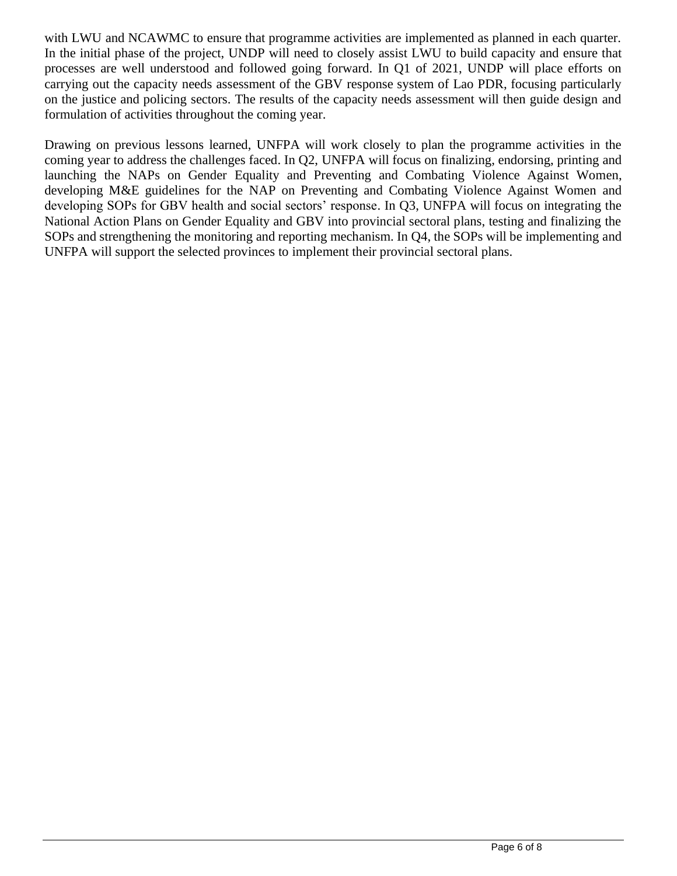with LWU and NCAWMC to ensure that programme activities are implemented as planned in each quarter. In the initial phase of the project, UNDP will need to closely assist LWU to build capacity and ensure that processes are well understood and followed going forward. In Q1 of 2021, UNDP will place efforts on carrying out the capacity needs assessment of the GBV response system of Lao PDR, focusing particularly on the justice and policing sectors. The results of the capacity needs assessment will then guide design and formulation of activities throughout the coming year.

Drawing on previous lessons learned, UNFPA will work closely to plan the programme activities in the coming year to address the challenges faced. In Q2, UNFPA will focus on finalizing, endorsing, printing and launching the NAPs on Gender Equality and Preventing and Combating Violence Against Women, developing M&E guidelines for the NAP on Preventing and Combating Violence Against Women and developing SOPs for GBV health and social sectors' response. In Q3, UNFPA will focus on integrating the National Action Plans on Gender Equality and GBV into provincial sectoral plans, testing and finalizing the SOPs and strengthening the monitoring and reporting mechanism. In Q4, the SOPs will be implementing and UNFPA will support the selected provinces to implement their provincial sectoral plans.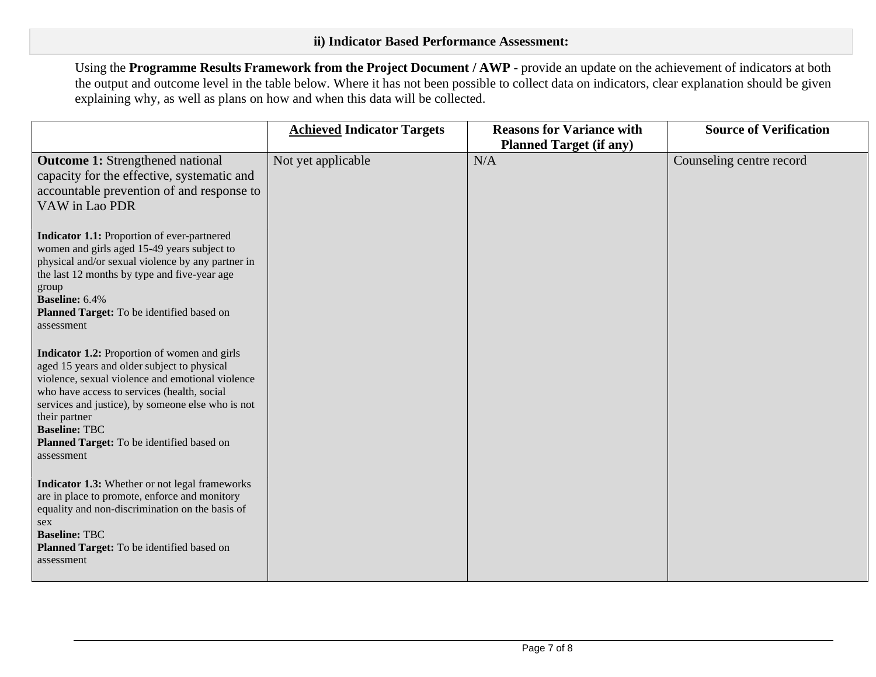Using the **Programme Results Framework from the Project Document / AWP** - provide an update on the achievement of indicators at both the output and outcome level in the table below. Where it has not been possible to collect data on indicators, clear explanation should be given explaining why, as well as plans on how and when this data will be collected.

|                                                                                                                                                                                                                                                                                                                                                                | <b>Achieved Indicator Targets</b> | <b>Reasons for Variance with</b><br><b>Planned Target (if any)</b> | <b>Source of Verification</b> |
|----------------------------------------------------------------------------------------------------------------------------------------------------------------------------------------------------------------------------------------------------------------------------------------------------------------------------------------------------------------|-----------------------------------|--------------------------------------------------------------------|-------------------------------|
| <b>Outcome 1:</b> Strengthened national<br>capacity for the effective, systematic and<br>accountable prevention of and response to<br>VAW in Lao PDR                                                                                                                                                                                                           | Not yet applicable                | N/A                                                                | Counseling centre record      |
| Indicator 1.1: Proportion of ever-partnered<br>women and girls aged 15-49 years subject to<br>physical and/or sexual violence by any partner in<br>the last 12 months by type and five-year age<br>group<br><b>Baseline:</b> 6.4%<br>Planned Target: To be identified based on<br>assessment                                                                   |                                   |                                                                    |                               |
| <b>Indicator 1.2:</b> Proportion of women and girls<br>aged 15 years and older subject to physical<br>violence, sexual violence and emotional violence<br>who have access to services (health, social<br>services and justice), by someone else who is not<br>their partner<br><b>Baseline: TBC</b><br>Planned Target: To be identified based on<br>assessment |                                   |                                                                    |                               |
| Indicator 1.3: Whether or not legal frameworks<br>are in place to promote, enforce and monitory<br>equality and non-discrimination on the basis of<br>sex<br><b>Baseline: TBC</b><br>Planned Target: To be identified based on<br>assessment                                                                                                                   |                                   |                                                                    |                               |